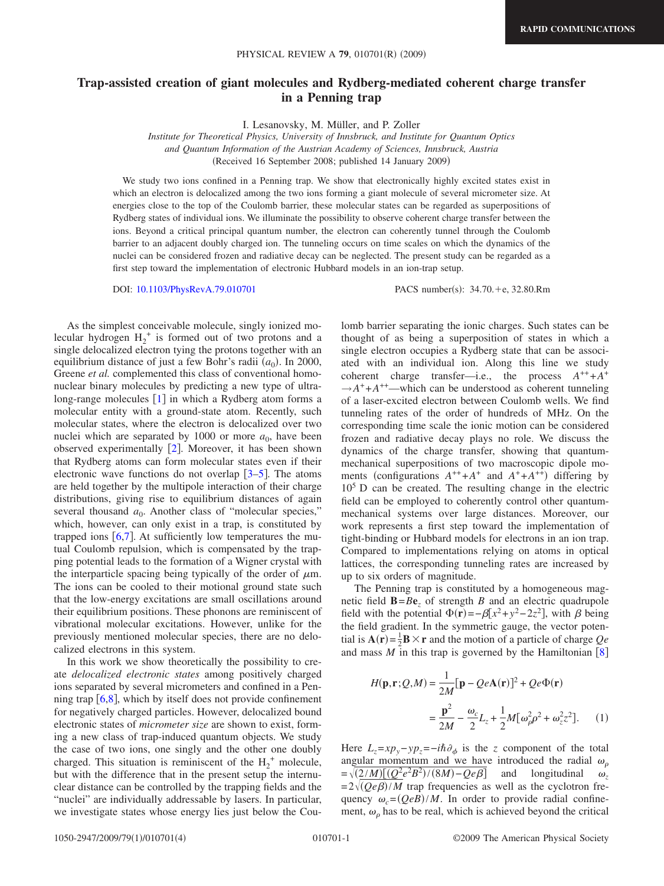## **Trap-assisted creation of giant molecules and Rydberg-mediated coherent charge transfer in a Penning trap**

I. Lesanovsky, M. Müller, and P. Zoller

*Institute for Theoretical Physics, University of Innsbruck, and Institute for Quantum Optics and Quantum Information of the Austrian Academy of Sciences, Innsbruck, Austria* Received 16 September 2008; published 14 January 2009-

We study two ions confined in a Penning trap. We show that electronically highly excited states exist in which an electron is delocalized among the two ions forming a giant molecule of several micrometer size. At energies close to the top of the Coulomb barrier, these molecular states can be regarded as superpositions of Rydberg states of individual ions. We illuminate the possibility to observe coherent charge transfer between the ions. Beyond a critical principal quantum number, the electron can coherently tunnel through the Coulomb barrier to an adjacent doubly charged ion. The tunneling occurs on time scales on which the dynamics of the nuclei can be considered frozen and radiative decay can be neglected. The present study can be regarded as a first step toward the implementation of electronic Hubbard models in an ion-trap setup.

DOI: [10.1103/PhysRevA.79.010701](http://dx.doi.org/10.1103/PhysRevA.79.010701)

PACS number(s):  $34.70.+e$ ,  $32.80.Rm$ 

As the simplest conceivable molecule, singly ionized molecular hydrogen  $H_2^+$  is formed out of two protons and a single delocalized electron tying the protons together with an equilibrium distance of just a few Bohr's radii  $(a_0)$ . In 2000, Greene *et al.* complemented this class of conventional homonuclear binary molecules by predicting a new type of ultralong-range molecules  $\lceil 1 \rceil$  $\lceil 1 \rceil$  $\lceil 1 \rceil$  in which a Rydberg atom forms a molecular entity with a ground-state atom. Recently, such molecular states, where the electron is delocalized over two nuclei which are separated by 1000 or more  $a_0$ , have been observed experimentally  $[2]$  $[2]$  $[2]$ . Moreover, it has been shown that Rydberg atoms can form molecular states even if their electronic wave functions do not overlap  $\lceil 3-5 \rceil$  $\lceil 3-5 \rceil$  $\lceil 3-5 \rceil$ . The atoms are held together by the multipole interaction of their charge distributions, giving rise to equilibrium distances of again several thousand  $a_0$ . Another class of "molecular species," which, however, can only exist in a trap, is constituted by trapped ions  $[6,7]$  $[6,7]$  $[6,7]$  $[6,7]$ . At sufficiently low temperatures the mutual Coulomb repulsion, which is compensated by the trapping potential leads to the formation of a Wigner crystal with the interparticle spacing being typically of the order of  $\mu$ m. The ions can be cooled to their motional ground state such that the low-energy excitations are small oscillations around their equilibrium positions. These phonons are reminiscent of vibrational molecular excitations. However, unlike for the previously mentioned molecular species, there are no delocalized electrons in this system.

In this work we show theoretically the possibility to create *delocalized electronic states* among positively charged ions separated by several micrometers and confined in a Penning trap  $[6,8]$  $[6,8]$  $[6,8]$  $[6,8]$ , which by itself does not provide confinement for negatively charged particles. However, delocalized bound electronic states of *micrometer size* are shown to exist, forming a new class of trap-induced quantum objects. We study the case of two ions, one singly and the other one doubly charged. This situation is reminiscent of the  $H_2^+$  molecule, but with the difference that in the present setup the internuclear distance can be controlled by the trapping fields and the "nuclei" are individually addressable by lasers. In particular, we investigate states whose energy lies just below the Coulomb barrier separating the ionic charges. Such states can be thought of as being a superposition of states in which a single electron occupies a Rydberg state that can be associated with an individual ion. Along this line we study coherent charge transfer—i.e., the process  $A^{++} + A^+$  $\rightarrow$ *A*<sup>+</sup> +*A*<sup>++</sup>—which can be understood as coherent tunneling of a laser-excited electron between Coulomb wells. We find tunneling rates of the order of hundreds of MHz. On the corresponding time scale the ionic motion can be considered frozen and radiative decay plays no role. We discuss the dynamics of the charge transfer, showing that quantummechanical superpositions of two macroscopic dipole moments (configurations  $A^{++} + A^+$  and  $A^+ + A^{++}$ ) differing by  $10<sup>5</sup>$  D can be created. The resulting change in the electric field can be employed to coherently control other quantummechanical systems over large distances. Moreover, our work represents a first step toward the implementation of tight-binding or Hubbard models for electrons in an ion trap. Compared to implementations relying on atoms in optical lattices, the corresponding tunneling rates are increased by up to six orders of magnitude.

The Penning trap is constituted by a homogeneous magnetic field  $\mathbf{B} = B\mathbf{e}$ *z* of strength *B* and an electric quadrupole field with the potential  $\Phi(\mathbf{r}) = -\beta[x^2 + y^2 - 2z^2]$ , with  $\beta$  being the field gradient. In the symmetric gauge, the vector potential is  $\mathbf{A}(\mathbf{r}) = \frac{1}{2}\mathbf{B} \times \mathbf{r}$  and the motion of a particle of charge  $Qe$ and mass  $M$  in this trap is governed by the Hamiltonian  $\lceil 8 \rceil$  $\lceil 8 \rceil$  $\lceil 8 \rceil$ 

$$
H(\mathbf{p}, \mathbf{r}; \mathcal{Q}, M) = \frac{1}{2M} [\mathbf{p} - Qe\mathbf{A}(\mathbf{r})]^2 + Qe\Phi(\mathbf{r})
$$

$$
= \frac{\mathbf{p}^2}{2M} - \frac{\omega_c}{2} L_z + \frac{1}{2} M[\omega_\rho^2 \rho^2 + \omega_z^2 z^2]. \tag{1}
$$

Here  $L_z = xp_y - yp_z = -i\hbar \partial_{\phi}$  is the *z* component of the total angular momentum and we have introduced the radial  $\omega_{\rho}$  $= \sqrt{(2/M)[(Q^2e^2B^2)/(8M)-Qe\beta]}$  and longitudinal  $\omega_z$  $=2\sqrt{(Qe\beta)/M}$  trap frequencies as well as the cyclotron frequency  $\omega_c = (QeB)/M$ . In order to provide radial confinement,  $\omega$ <sub>o</sub> has to be real, which is achieved beyond the critical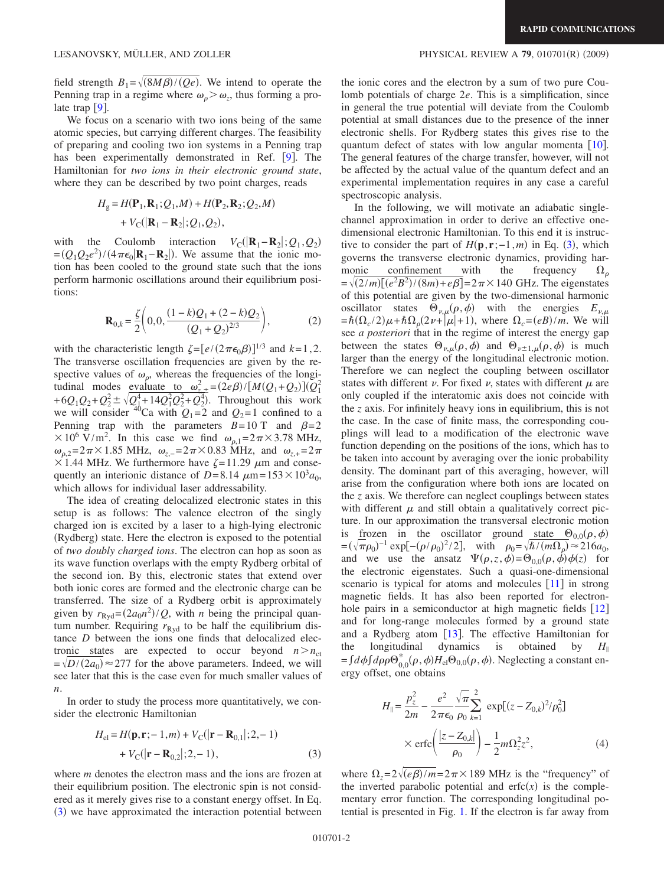We focus on a scenario with two ions being of the same atomic species, but carrying different charges. The feasibility of preparing and cooling two ion systems in a Penning trap has been experimentally demonstrated in Ref.  $[9]$  $[9]$  $[9]$ . The Hamiltonian for *two ions in their electronic ground state*, where they can be described by two point charges, reads

$$
H_{g} = H(\mathbf{P}_{1}, \mathbf{R}_{1}; Q_{1}, M) + H(\mathbf{P}_{2}, \mathbf{R}_{2}; Q_{2}, M) + V_{C}(|\mathbf{R}_{1} - \mathbf{R}_{2}|; Q_{1}, Q_{2}),
$$

with the Coulomb interaction  $V_C(|\mathbf{R}_1 - \mathbf{R}_2|; Q_1, Q_2)$  $=(Q_1Q_2e^2)/(4\pi\epsilon_0|\mathbf{R}_1-\mathbf{R}_2|)$ . We assume that the ionic motion has been cooled to the ground state such that the ions perform harmonic oscillations around their equilibrium positions:

$$
\mathbf{R}_{0,k} = \frac{\zeta}{2} \left( 0, 0, \frac{(1-k)Q_1 + (2-k)Q_2}{(Q_1 + Q_2)^{2/3}} \right),
$$
 (2)

with the characteristic length  $\zeta = [e/(2\pi\epsilon_0\beta)]^{1/3}$  and  $k=1,2$ . The transverse oscillation frequencies are given by the respective values of  $\omega_{\rho}$ , whereas the frequencies of the longitudinal modes evaluate to  $\omega_{z,+}^2 = (2e\beta)/[M(Q_1+Q_2)](Q_1^2)$  $+6Q_1Q_2+Q_2^2 \pm \sqrt{Q_1^4+14Q_1^2Q_2^2+Q_2^4}$ . Throughout this work we will consider <sup>40</sup>Ca with  $Q_1 = 2$  and  $Q_2 = 1$  confined to a Penning trap with the parameters  $B=10$  T and  $\beta=2$  $\times 10^6$  V/m<sup>2</sup>. In this case we find  $\omega_{p,1}=2\pi \times 3.78$  MHz,  $ω_{0.2} = 2π × 1.85 \text{ MHz}, ω_{z,-} = 2π × 0.83 \text{ MHz}, \text{ and } ω_{z,+} = 2π$  $\times$  1.44 MHz. We furthermore have  $\zeta$ =11.29  $\mu$ m and consequently an interionic distance of *D*=8.14  $\mu$ m=153×10<sup>3</sup> $a_0$ , which allows for individual laser addressability.

The idea of creating delocalized electronic states in this setup is as follows: The valence electron of the singly charged ion is excited by a laser to a high-lying electronic (Rydberg) state. Here the electron is exposed to the potential of *two doubly charged ions*. The electron can hop as soon as its wave function overlaps with the empty Rydberg orbital of the second ion. By this, electronic states that extend over both ionic cores are formed and the electronic charge can be transferred. The size of a Rydberg orbit is approximately given by  $r_{\text{Ryd}} = (2a_0 n^2)/Q$ , with *n* being the principal quantum number. Requiring  $r_{\text{Ryd}}$  to be half the equilibrium distance *D* between the ions one finds that delocalized electronic states are expected to occur beyond  $n > n_{\text{ct}}$  $=\sqrt{D/(2a_0)} \approx 277$  for the above parameters. Indeed, we will see later that this is the case even for much smaller values of *n*.

In order to study the process more quantitatively, we consider the electronic Hamiltonian

$$
H_{\text{el}} = H(\mathbf{p}, \mathbf{r}; -1, m) + V_{\text{C}}(|\mathbf{r} - \mathbf{R}_{0,1}|; 2, -1)
$$
  
+  $V_{\text{C}}(|\mathbf{r} - \mathbf{R}_{0,2}|; 2, -1),$  (3)

<span id="page-1-0"></span>where *m* denotes the electron mass and the ions are frozen at their equilibrium position. The electronic spin is not considered as it merely gives rise to a constant energy offset. In Eq. ([3](#page-1-0)) we have approximated the interaction potential between

the ionic cores and the electron by a sum of two pure Coulomb potentials of charge 2*e*. This is a simplification, since in general the true potential will deviate from the Coulomb potential at small distances due to the presence of the inner electronic shells. For Rydberg states this gives rise to the quantum defect of states with low angular momenta  $[10]$  $[10]$  $[10]$ . The general features of the charge transfer, however, will not be affected by the actual value of the quantum defect and an experimental implementation requires in any case a careful spectroscopic analysis.

In the following, we will motivate an adiabatic singlechannel approximation in order to derive an effective onedimensional electronic Hamiltonian. To this end it is instructive to consider the part of  $H(\mathbf{p}, \mathbf{r}; -1, m)$  in Eq. ([3](#page-1-0)), which governs the transverse electronic dynamics, providing harmonic confinement with the frequency  $\Omega_0$  $=\sqrt{(2/m)[(e^2B^2)/(8m)+e\beta]}$  = 2 $\pi$  × 140 GHz. The eigenstates of this potential are given by the two-dimensional harmonic oscillator states  $\Theta_{\nu,\mu}(\rho,\phi)$  with the energies  $E_{\nu,\mu}$  $=\hbar(\Omega_c/2)\mu + \hbar\Omega_p(2\nu + |\mu| + 1)$ , where  $\Omega_c = (eB)/m$ . We will see *a posteriori* that in the regime of interest the energy gap between the states  $\Theta_{\nu,\mu}(\rho,\phi)$  and  $\Theta_{\nu\pm 1,\mu}(\rho,\phi)$  is much larger than the energy of the longitudinal electronic motion. Therefore we can neglect the coupling between oscillator states with different  $\nu$ . For fixed  $\nu$ , states with different  $\mu$  are only coupled if the interatomic axis does not coincide with the *z* axis. For infinitely heavy ions in equilibrium, this is not the case. In the case of finite mass, the corresponding couplings will lead to a modification of the electronic wave function depending on the positions of the ions, which has to be taken into account by averaging over the ionic probability density. The dominant part of this averaging, however, will arise from the configuration where both ions are located on the *z* axis. We therefore can neglect couplings between states with different  $\mu$  and still obtain a qualitatively correct picture. In our approximation the transversal electronic motion is <u>fr</u>ozen in the oscillator ground state  $\Theta_{0,0}(\rho,\phi)$  $=(\sqrt{\pi}\rho_0)^{-1} \exp[-(\rho/\rho_0)^2/2],$  with  $\rho_0 = \sqrt{\hbar/(m\Omega_\rho)} \approx 216a_0$ , and we use the ansatz  $\Psi(\rho, z, \phi) = \Theta_{0,0}(\rho, \phi) \phi(z)$  for the electronic eigenstates. Such a quasi-one-dimensional scenario is typical for atoms and molecules  $[11]$  $[11]$  $[11]$  in strong magnetic fields. It has also been reported for electronhole pairs in a semiconductor at high magnetic fields  $\lceil 12 \rceil$  $\lceil 12 \rceil$  $\lceil 12 \rceil$ and for long-range molecules formed by a ground state and a Rydberg atom  $[13]$  $[13]$  $[13]$ . The effective Hamiltonian for the longitudinal dynamics is obtained by  $H_{\parallel}$  $=f d\phi \int d\rho \rho \Theta_{0,0}^* (\rho, \phi) H_{\text{el}} \Theta_{0,0}(\rho, \phi)$ . Neglecting a constant energy offset, one obtains

<span id="page-1-1"></span>
$$
H_{\parallel} = \frac{p_z^2}{2m} - \frac{e^2}{2\pi\epsilon_0} \frac{\sqrt{\pi}}{\rho_0} \sum_{k=1}^2 \exp[(z - Z_{0,k})^2/\rho_0^2]
$$
  
 
$$
\times \operatorname{erfc}\left(\frac{|z - Z_{0,k}|}{\rho_0}\right) - \frac{1}{2}m\Omega_z^2 z^2, \tag{4}
$$

where  $\Omega_z = 2\sqrt{(e\beta)/m} = 2\pi \times 189$  MHz is the "frequency" of the inverted parabolic potential and  $erfc(x)$  is the complementary error function. The corresponding longitudinal potential is presented in Fig. [1.](#page-2-0) If the electron is far away from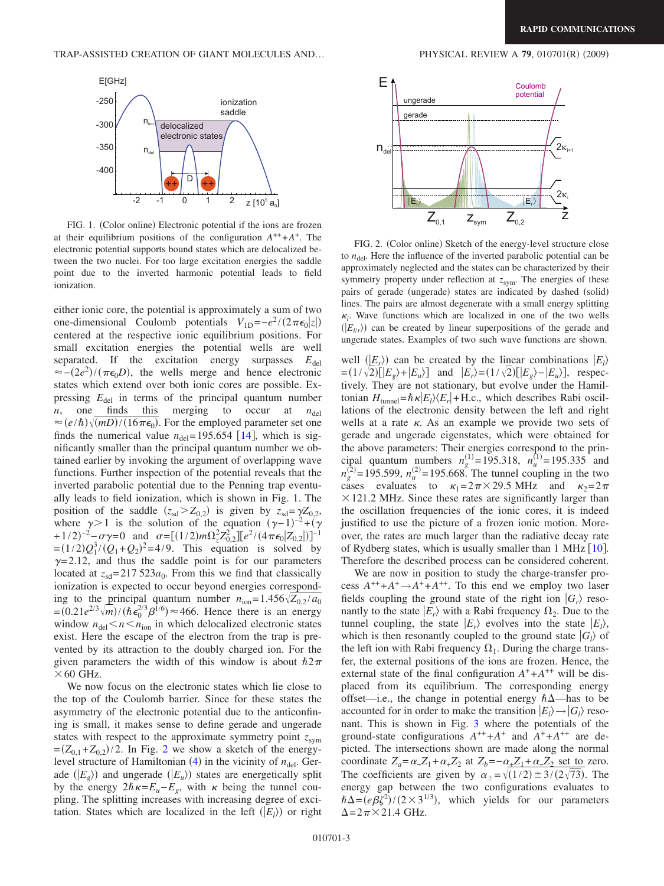<span id="page-2-0"></span>

FIG. 1. (Color online) Electronic potential if the ions are frozen at their equilibrium positions of the configuration  $A^{++} + A^+$ . The electronic potential supports bound states which are delocalized between the two nuclei. For too large excitation energies the saddle point due to the inverted harmonic potential leads to field ionization.

either ionic core, the potential is approximately a sum of two one-dimensional Coulomb potentials  $V_{1D} = -e^2/(2\pi\epsilon_0|z|)$ centered at the respective ionic equilibrium positions. For small excitation energies the potential wells are well separated. If the excitation energy surpasses  $E_{\text{del}}$  $\approx -(2e^2)/(\pi\epsilon_0 D)$ , the wells merge and hence electronic states which extend over both ionic cores are possible. Expressing  $E_{\text{del}}$  in terms of the principal quantum number *n*, one finds this merging to occur at  $n_{\text{del}}$  $n$ , one finds this merging to occur at  $n_{\text{del}}$  $\approx$  (*e*/ $\hbar$ ) $\sqrt{(mD)/(16\pi\epsilon_0)}$ . For the employed parameter set one finds the numerical value  $n_{\text{del}} = 195.654$  [[14](#page-3-12)], which is significantly smaller than the principal quantum number we obtained earlier by invoking the argument of overlapping wave functions. Further inspection of the potential reveals that the inverted parabolic potential due to the Penning trap eventually leads to field ionization, which is shown in Fig. [1.](#page-2-0) The position of the saddle  $(z_{sd} > Z_{0,2})$  is given by  $z_{sd} = \gamma Z_{0,2}$ , where  $\gamma > 1$  is the solution of the equation  $(\gamma - 1)^{-2} + (\gamma)$  $+1/2$ <sup>-2</sup>- $\sigma \gamma = 0$  and  $\sigma = [(1/2)m\Omega_z^2 Z_{0,2}^2][e^2/(4\pi\epsilon_0|Z_{0,2}|)]^{-1}$  $=(1/2)Q_1^3/(Q_1+Q_2)^2=4/9$ . This equation is solved by  $\gamma$ =2.12, and thus the saddle point is for our parameters located at  $z_{sd}=217523a_0$ . From this we find that classically ionization is expected to occur beyond energies corresponding to the principal quantum number  $n_{\text{ion}} = 1.456 \sqrt{Z_{0.2}} / a_0$  $= (0.21e^{2/3}\sqrt{m})/(h\epsilon_0^{2/3}\beta^{1/6}) \approx 466$ . Hence there is an energy window  $n_{\text{del}} < n < n_{\text{ion}}$  in which delocalized electronic states exist. Here the escape of the electron from the trap is prevented by its attraction to the doubly charged ion. For the given parameters the width of this window is about  $h2\pi$  $\times$  60 GHz.

We now focus on the electronic states which lie close to the top of the Coulomb barrier. Since for these states the asymmetry of the electronic potential due to the anticonfining is small, it makes sense to define gerade and ungerade states with respect to the approximate symmetry point  $z_{sym}$  $=(Z_{0,1}+Z_{0,2})/2$  $=(Z_{0,1}+Z_{0,2})/2$  $=(Z_{0,1}+Z_{0,2})/2$ . In Fig. 2 we show a sketch of the energylevel structure of Hamiltonian  $(4)$  $(4)$  $(4)$  in the vicinity of  $n_{\text{del}}$ . Gerade  $(E_g)$  and ungerade  $(E_u)$  states are energetically split by the energy  $2\hbar\kappa=E_{u}-E_{g}$ , with  $\kappa$  being the tunnel coupling. The splitting increases with increasing degree of excitation. States which are localized in the left  $(E_l)$  or right

<span id="page-2-1"></span>

FIG. 2. (Color online) Sketch of the energy-level structure close to  $n_{\text{del}}$ . Here the influence of the inverted parabolic potential can be approximately neglected and the states can be characterized by their symmetry property under reflection at  $z_{sym}$ . The energies of these pairs of gerade (ungerade) states are indicated by dashed (solid) lines. The pairs are almost degenerate with a small energy splitting  $\kappa_i$ . Wave functions which are localized in one of the two wells  $(|E_{l/r}\rangle)$  can be created by linear superpositions of the gerade and ungerade states. Examples of two such wave functions are shown.

well  $(E_r)$  can be created by the linear combinations  $|E_l\rangle$  $= (1/\sqrt{2}) [E_g\rangle + |E_u\rangle]$  and  $|E_r\rangle = (1/\sqrt{2}) [E_g\rangle - |E_u\rangle]$ , respectively. They are not stationary, but evolve under the Hamiltonian  $H_{\text{tunnel}} = \hbar \kappa |E_l\rangle \langle E_r| + \text{H.c.,}$  which describes Rabi oscillations of the electronic density between the left and right wells at a rate  $\kappa$ . As an example we provide two sets of gerade and ungerade eigenstates, which were obtained for the above parameters: Their energies correspond to the principal quantum numbers  $n_g^{(1)} = 195.318$ ,  $n_u^{(1)} = 195.335$  and  $n_g^{(2)} = 195.599$ ,  $n_u^{(2)} = 195.668$ . The tunnel coupling in the two cases evaluates to  $\kappa_1=2\pi\times 29.5$  MHz and  $\kappa_2=2\pi$  $\times$  121.2 MHz. Since these rates are significantly larger than the oscillation frequencies of the ionic cores, it is indeed justified to use the picture of a frozen ionic motion. Moreover, the rates are much larger than the radiative decay rate of Rydberg states, which is usually smaller than 1 MHz  $[10]$  $[10]$  $[10]$ . Therefore the described process can be considered coherent.

We are now in position to study the charge-transfer process  $A^{++} + A^{+} \rightarrow A^{+} + A^{++}$ . To this end we employ two laser fields coupling the ground state of the right ion  $|G_r\rangle$  resonantly to the state  $|E_r\rangle$  with a Rabi frequency  $\Omega_2$ . Due to the tunnel coupling, the state  $|E_r\rangle$  evolves into the state  $|E_l\rangle$ , which is then resonantly coupled to the ground state  $|G_l\rangle$  of the left ion with Rabi frequency  $\Omega_1$ . During the charge transfer, the external positions of the ions are frozen. Hence, the external state of the final configuration  $A^+ + A^{++}$  will be displaced from its equilibrium. The corresponding energy offset—i.e., the change in potential energy  $\hbar\Delta$ —has to be accounted for in order to make the transition  $|E_l\rangle \rightarrow |G_l\rangle$  resonant. This is shown in Fig. [3](#page-3-13) where the potentials of the ground-state configurations  $A^{++} + A^+$  and  $A^+ + A^{++}$  are depicted. The intersections shown are made along the normal coordinate  $Z_a = \alpha_- Z_1 + \alpha_+ Z_2$  at  $Z_b = -\alpha_+ Z_1 + \alpha_- Z_2$  set to zero. The coefficients are given by  $\alpha_{\pm} = \sqrt{(1/2) \pm 3/(2\sqrt{73})}$ . The energy gap between the two configurations evaluates to  $\hbar \Delta = (e \beta \zeta^2) / (2 \times 3^{1/3})$ , which yields for our parameters  $\Delta$ =2 $\pi$ ×21.4 GHz.